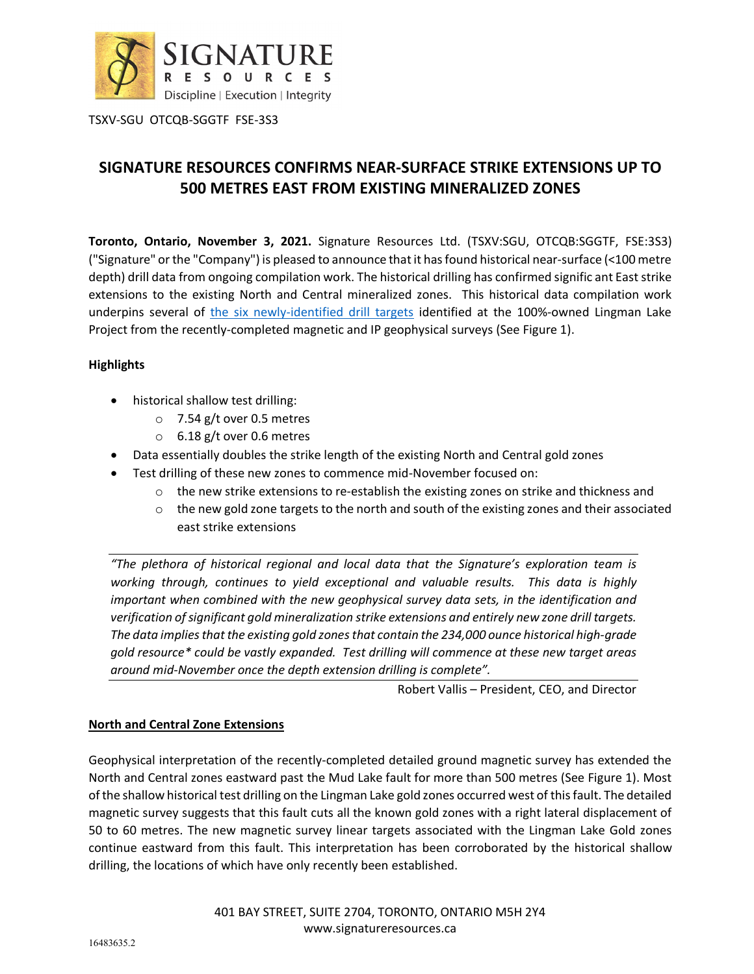

# **SIGNATURE RESOURCES CONFIRMS NEAR-SURFACE STRIKE EXTENSIONS UP TO 500 METRES EAST FROM EXISTING MINERALIZED ZONES**

**Toronto, Ontario, November 3, 2021.** Signature Resources Ltd. (TSXV:SGU, OTCQB:SGGTF, FSE:3S3) ("Signature" or the "Company") is pleased to announce that it has found historical near-surface (<100 metre depth) drill data from ongoing compilation work. The historical drilling has confirmed signific ant East strike extensions to the existing North and Central mineralized zones. This historical data compilation work underpins several of [the six newly-identified drill targets](https://www.signatureresources.ca/news/signature-resources-releases-preliminary-interpretation-of-detailed-geophysical-results-at-its-lingman-lake-project) identified at the 100%-owned Lingman Lake Project from the recently-completed magnetic and IP geophysical surveys (See Figure 1).

## **Highlights**

- historical shallow test drilling:
	- o 7.54 g/t over 0.5 metres
	- o 6.18 g/t over 0.6 metres
- Data essentially doubles the strike length of the existing North and Central gold zones
- Test drilling of these new zones to commence mid-November focused on:
	- $\circ$  the new strike extensions to re-establish the existing zones on strike and thickness and
	- $\circ$  the new gold zone targets to the north and south of the existing zones and their associated east strike extensions

*"The plethora of historical regional and local data that the Signature's exploration team is working through, continues to yield exceptional and valuable results. This data is highly important when combined with the new geophysical survey data sets, in the identification and verification of significant gold mineralization strike extensions and entirely new zone drill targets. The data impliesthat the existing gold zones that contain the 234,000 ounce historical high-grade gold resource\* could be vastly expanded. Test drilling will commence at these new target areas around mid-November once the depth extension drilling is complete".* 

Robert Vallis – President, CEO, and Director

## **North and Central Zone Extensions**

Geophysical interpretation of the recently-completed detailed ground magnetic survey has extended the North and Central zones eastward past the Mud Lake fault for more than 500 metres (See Figure 1). Most of the shallow historical test drilling on the Lingman Lake gold zones occurred west of this fault. The detailed magnetic survey suggests that this fault cuts all the known gold zones with a right lateral displacement of 50 to 60 metres. The new magnetic survey linear targets associated with the Lingman Lake Gold zones continue eastward from this fault. This interpretation has been corroborated by the historical shallow drilling, the locations of which have only recently been established.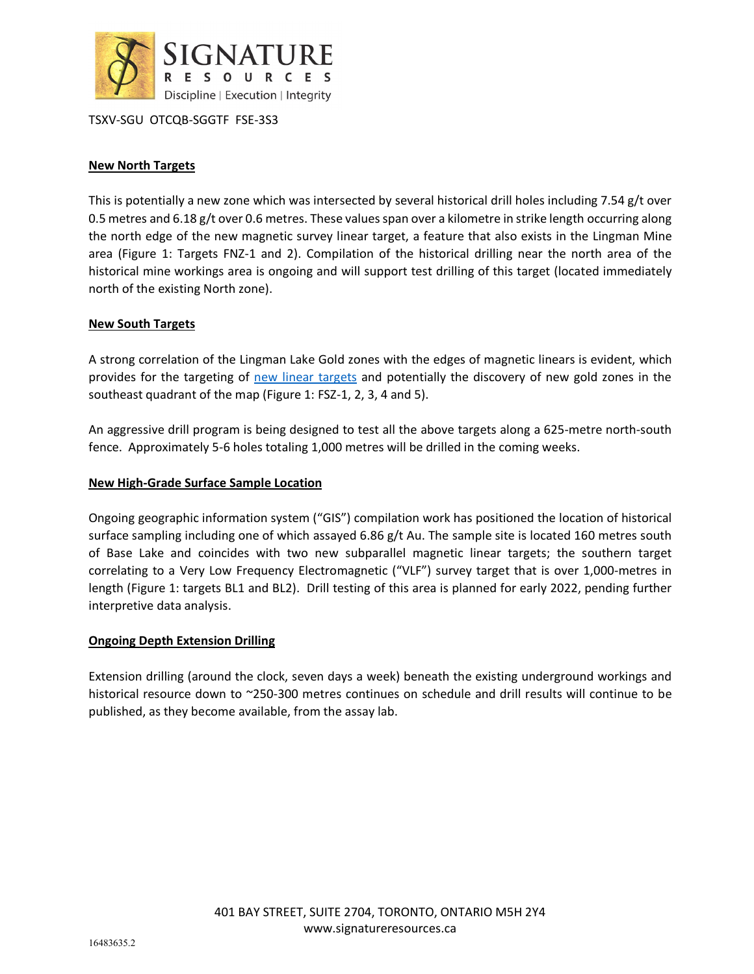

## **New North Targets**

This is potentially a new zone which was intersected by several historical drill holes including 7.54 g/t over 0.5 metres and 6.18 g/t over 0.6 metres. These values span over a kilometre in strike length occurring along the north edge of the new magnetic survey linear target, a feature that also exists in the Lingman Mine area (Figure 1: Targets FNZ-1 and 2). Compilation of the historical drilling near the north area of the historical mine workings area is ongoing and will support test drilling of this target (located immediately north of the existing North zone).

### **New South Targets**

A strong correlation of the Lingman Lake Gold zones with the edges of magnetic linears is evident, which provides for the targeting of [new linear](https://www.signatureresources.ca/news/signature-resources-releases-preliminary-interpretation-of-detailed-geophysical-results-at-its-lingman-lake-project) targets and potentially the discovery of new gold zones in the southeast quadrant of the map (Figure 1: FSZ-1, 2, 3, 4 and 5).

An aggressive drill program is being designed to test all the above targets along a 625-metre north-south fence. Approximately 5-6 holes totaling 1,000 metres will be drilled in the coming weeks.

#### **New High-Grade Surface Sample Location**

Ongoing geographic information system ("GIS") compilation work has positioned the location of historical surface sampling including one of which assayed 6.86 g/t Au. The sample site is located 160 metres south of Base Lake and coincides with two new subparallel magnetic linear targets; the southern target correlating to a Very Low Frequency Electromagnetic ("VLF") survey target that is over 1,000-metres in length (Figure 1: targets BL1 and BL2). Drill testing of this area is planned for early 2022, pending further interpretive data analysis.

#### **Ongoing Depth Extension Drilling**

Extension drilling (around the clock, seven days a week) beneath the existing underground workings and historical resource down to ~250-300 metres continues on schedule and drill results will continue to be published, as they become available, from the assay lab.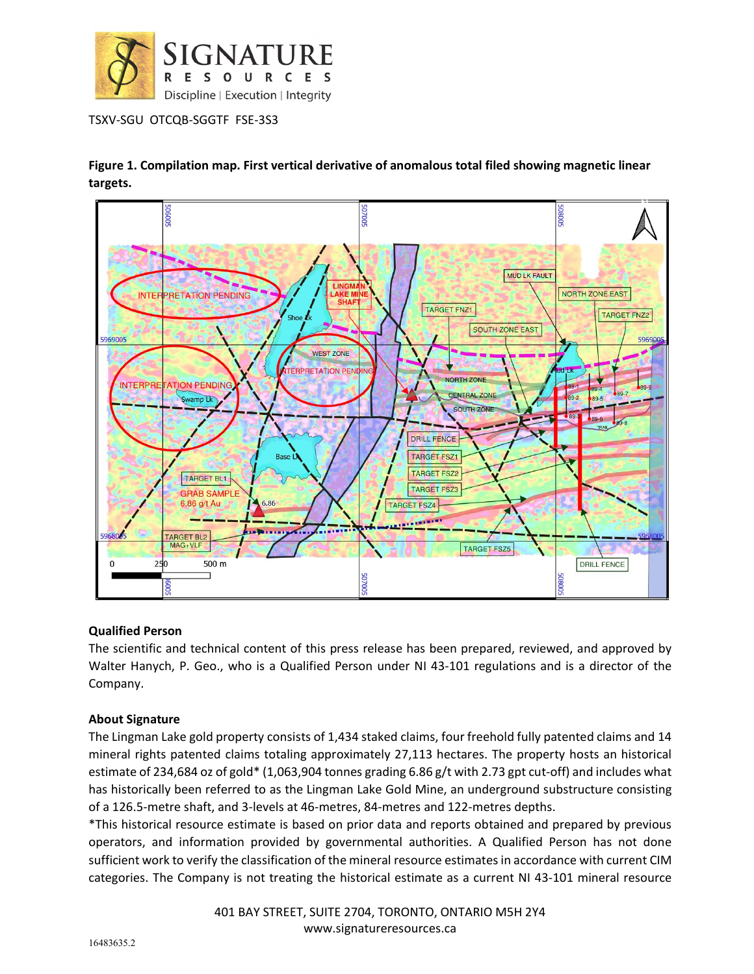

**Figure 1. Compilation map. First vertical derivative of anomalous total filed showing magnetic linear targets.**



## **Qualified Person**

The scientific and technical content of this press release has been prepared, reviewed, and approved by Walter Hanych, P. Geo., who is a Qualified Person under NI 43-101 regulations and is a director of the Company.

## **About Signature**

The Lingman Lake gold property consists of 1,434 staked claims, four freehold fully patented claims and 14 mineral rights patented claims totaling approximately 27,113 hectares. The property hosts an historical estimate of 234,684 oz of gold\* (1,063,904 tonnes grading 6.86 g/t with 2.73 gpt cut-off) and includes what has historically been referred to as the Lingman Lake Gold Mine, an underground substructure consisting of a 126.5-metre shaft, and 3-levels at 46-metres, 84-metres and 122-metres depths.

\*This historical resource estimate is based on prior data and reports obtained and prepared by previous operators, and information provided by governmental authorities. A Qualified Person has not done sufficient work to verify the classification of the mineral resource estimates in accordance with current CIM categories. The Company is not treating the historical estimate as a current NI 43-101 mineral resource